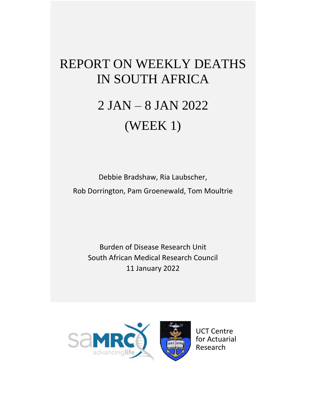## REPORT ON WEEKLY DEATHS IN SOUTH AFRICA

# 2 JAN – 8 JAN 2022 (WEEK 1)

Debbie Bradshaw, Ria Laubscher, Rob Dorrington, Pam Groenewald, Tom Moultrie

Burden of Disease Research Unit South African Medical Research Council 11 January 2022

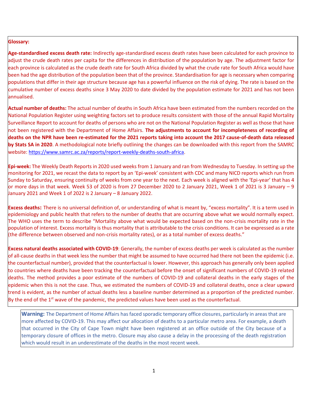#### **Glossary:**

**Age-standardised excess death rate:** Indirectly age-standardised excess death rates have been calculated for each province to adjust the crude death rates per capita for the differences in distribution of the population by age. The adjustment factor for each province is calculated as the crude death rate for South Africa divided by what the crude rate for South Africa would have been had the age distribution of the population been that of the province. Standardisation for age is necessary when comparing populations that differ in their age structure because age has a powerful influence on the risk of dying. The rate is based on the cumulative number of excess deaths since 3 May 2020 to date divided by the population estimate for 2021 and has not been annualised.

**Actual number of deaths:** The actual number of deaths in South Africa have been estimated from the numbers recorded on the National Population Register using weighting factors set to produce results consistent with those of the annual Rapid Mortality Surveillance Report to account for deaths of persons who are not on the National Population Register as well as those that have not been registered with the Department of Home Affairs. **The adjustments to account for incompleteness of recording of deaths on the NPR have been re-estimated for the 2021 reports taking into account the 2017 cause-of-death data released by Stats SA in 2020**. A methodological note briefly outlining the changes can be downloaded with this report from the SAMRC website[: https://www.samrc.ac.za/reports/report-weekly-deaths-south-africa.](https://www.samrc.ac.za/reports/report-weekly-deaths-south-africa)

**Epi-week:** The Weekly Death Reports in 2020 used weeks from 1 January and ran from Wednesday to Tuesday. In setting up the monitoring for 2021, we recast the data to report by an 'Epi-week' consistent with CDC and many NICD reports which run from Sunday to Saturday, ensuring continuity of weeks from one year to the next. Each week is aligned with the 'Epi-year' that has 4 or more days in that week. Week 53 of 2020 is from 27 December 2020 to 2 January 2021, Week 1 of 2021 is 3 January – 9 January 2021 and Week 1 of 2022 is 2 January – 8 January 2022.

**Excess deaths:** There is no universal definition of, or understanding of what is meant by, "excess mortality". It is a term used in epidemiology and public health that refers to the number of deaths that are occurring above what we would normally expect. The WHO uses the term to describe "Mortality above what would be expected based on the non-crisis mortality rate in the population of interest. Excess mortality is thus mortality that is attributable to the crisis conditions. It can be expressed as a rate (the difference between observed and non-crisis mortality rates), or as a total number of excess deaths."

**Excess natural deaths associated with COVID-19**: Generally, the number of excess deaths per week is calculated as the number of all-cause deaths in that week less the number that might be assumed to have occurred had there not been the epidemic (i.e. the counterfactual number), provided that the counterfactual is lower. However, this approach has generally only been applied to countries where deaths have been tracking the counterfactual before the onset of significant numbers of COVID-19 related deaths. The method provides a poor estimate of the numbers of COVID-19 and collateral deaths in the early stages of the epidemic when this is not the case. Thus, we estimated the numbers of COVID-19 and collateral deaths, once a clear upward trend is evident, as the number of actual deaths less a baseline number determined as a proportion of the predicted number. By the end of the  $1<sup>st</sup>$  wave of the pandemic, the predicted values have been used as the counterfactual.

**Warning:** The Department of Home Affairs has faced sporadic temporary office closures, particularly in areas that are more affected by COVID-19. This may affect our allocation of deaths to a particular metro area. For example, a death that occurred in the City of Cape Town might have been registered at an office outside of the City because of a temporary closure of offices in the metro. Closure may also cause a delay in the processing of the death registration which would result in an underestimate of the deaths in the most recent week.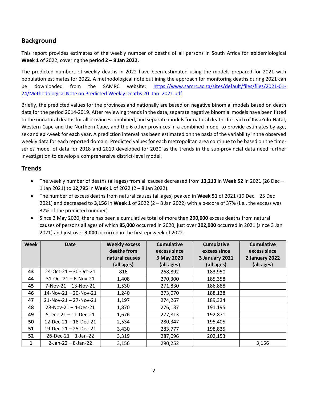## **Background**

This report provides estimates of the weekly number of deaths of all persons in South Africa for epidemiological **Week 1** of 2022, covering the period **2 – 8 Jan 2022.**

The predicted numbers of weekly deaths in 2022 have been estimated using the models prepared for 2021 with population estimates for 2022. A methodological note outlining the approach for monitoring deaths during 2021 can be downloaded from the SAMRC website: [https://www.samrc.ac.za/sites/default/files/files/2021-01-](https://www.samrc.ac.za/sites/default/files/files/2021-01-24/Methodological%20Note%20on%20Predicted%20Weekly%20Deaths%2020_Jan_2021.pdf) 24/Methodological Note on Predicted Weekly Deaths 20 Jan\_2021.pdf.

Briefly, the predicted values for the provinces and nationally are based on negative binomial models based on death data for the period 2014-2019. After reviewing trends in the data, separate negative binomial models have been fitted to the unnatural deaths for all provinces combined, and separate models for natural deaths for each of KwaZulu-Natal, Western Cape and the Northern Cape, and the 6 other provinces in a combined model to provide estimates by age, sex and epi-week for each year. A prediction interval has been estimated on the basis of the variability in the observed weekly data for each reported domain. Predicted values for each metropolitan area continue to be based on the timeseries model of data for 2018 and 2019 developed for 2020 as the trends in the sub-provincial data need further investigation to develop a comprehensive district-level model.

### **Trends**

- The weekly number of deaths (all ages) from all causes decreased from **13,213** in **Week 52** in 2021 (26 Dec 1 Jan 2021) to **12,795** in **Week 1** of 2022 (2 – 8 Jan 2022).
- The number of excess deaths from natural causes (all ages) peaked in **Week 51** of 2021 (19 Dec 25 Dec 2021) and decreased to **3,156** in **Week 1** of 2022 (2 – 8 Jan 2022) with a p-score of 37% (i.e., the excess was 37% of the predicted number).
- Since 3 May 2020, there has been a cumulative total of more than **290,000** excess deaths from natural causes of persons all ages of which **85,000** occurred in 2020, just over **202,000** occurred in 2021 (since 3 Jan 2021) and just over **3,000** occurred in the first epi week of 2022.

| <b>Week</b> | <b>Date</b>                    | <b>Weekly excess</b> | <b>Cumulative</b> | <b>Cumulative</b> | <b>Cumulative</b> |
|-------------|--------------------------------|----------------------|-------------------|-------------------|-------------------|
|             |                                | deaths from          | excess since      | excess since      | excess since      |
|             |                                | natural causes       | 3 May 2020        | 3 January 2021    | 2 January 2022    |
|             |                                | (all ages)           | (all ages)        | (all ages)        | (all ages)        |
| 43          | 24-Oct-21 - 30-Oct-21          | 816                  | 268,892           | 183,950           |                   |
| 44          | $31-Oct-21 - 6-Nov-21$         | 1,408                | 270,300           | 185,358           |                   |
| 45          | 7-Nov-21-13-Nov-21             | 1,530                | 271,830           | 186,888           |                   |
| 46          | $14$ -Nov-21 - 20-Nov-21       | 1,240                | 273,070           | 188,128           |                   |
| 47          | $21-Nov-21 - 27-Nov-21$        | 1,197                | 274,267           | 189,324           |                   |
| 48          | $28-Nov-21 - 4-Dec-21$         | 1,870                | 276,137           | 191,195           |                   |
| 49          | $5 - Dec - 21 - 11 - Dec - 21$ | 1,676                | 277,813           | 192,871           |                   |
| 50          | $12$ -Dec-21 - 18-Dec-21       | 2,534                | 280,347           | 195,405           |                   |
| 51          | $19$ -Dec-21 - 25-Dec-21       | 3,430                | 283,777           | 198,835           |                   |
| 52          | $26$ -Dec-21 - 1-Jan-22        | 3,319                | 287,096           | 202,153           |                   |
| 1           | $2$ -Jan-22 – 8-Jan-22         | 3,156                | 290,252           |                   | 3,156             |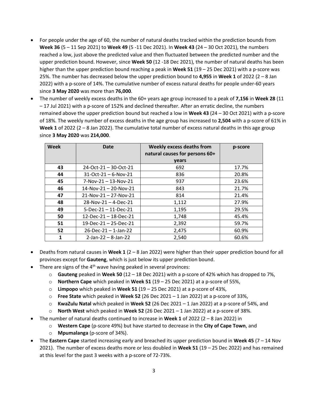- For people under the age of 60, the number of natural deaths tracked within the prediction bounds from **Week 36** (5 – 11 Sep 2021) to **Week 49** (5 -11 Dec 2021). In **Week 43** (24 – 30 Oct 2021), the numbers reached a low, just above the predicted value and then fluctuated between the predicted number and the upper prediction bound. However, since **Week 50** (12 -18 Dec 2021), the number of natural deaths has been higher than the upper prediction bound reaching a peak in **Week 51** (19 – 25 Dec 2021) with a p-score was 25%. The number has decreased below the upper prediction bound to **4,955** in **Week 1** of 2022 (2 – 8 Jan 2022) with a p-score of 14%. The cumulative number of excess natural deaths for people under-60 years since **3 May 2020** was more than **76,000**.
- The number of weekly excess deaths in the 60+ years age group increased to a peak of **7,156** in **Week 28** (11 – 17 Jul 2021) with a p-score of 152% and declined thereafter. After an erratic decline, the numbers remained above the upper prediction bound but reached a low in **Week 43** (24 – 30 Oct 2021) with a p-score of 18%. The weekly number of excess deaths in the age group has increased to **2,504** with a p-score of 61% in **Week 1** of 2022 (2 – 8 Jan 2022). The cumulative total number of excess natural deaths in this age group since **3 May 2020** was **214,000**.

| Week | Date                            | <b>Weekly excess deaths from</b><br>natural causes for persons 60+ | p-score |
|------|---------------------------------|--------------------------------------------------------------------|---------|
|      |                                 | years                                                              |         |
| 43   | $24 - Oct - 21 - 30 - Oct - 21$ | 692                                                                | 17.7%   |
| 44   | $31 - Oct - 21 - 6 - Nov - 21$  | 836                                                                | 20.8%   |
| 45   | $7-Nov-21 - 13-Nov-21$          | 937                                                                | 23.6%   |
| 46   | $14$ -Nov-21 - 20-Nov-21        | 843                                                                | 21.7%   |
| 47   | $21-Nov-21 - 27-Nov-21$         | 814                                                                | 21.4%   |
| 48   | $28-Nov-21 - 4-Dec-21$          | 1,112                                                              | 27.9%   |
| 49   | $5 - Dec - 21 - 11 - Dec - 21$  | 1,195                                                              | 29.5%   |
| 50   | $12$ -Dec-21 – 18-Dec-21        | 1,748                                                              | 45.4%   |
| 51   | $19$ -Dec-21 – 25-Dec-21        | 2,392                                                              | 59.7%   |
| 52   | $26$ -Dec-21 - 1-Jan-22         | 2,475                                                              | 60.9%   |
|      | $2$ -Jan-22 – 8-Jan-22          | 2,540                                                              | 60.6%   |

- Deaths from natural causes in **Week 1** (2 8 Jan 2022) were higher than their upper prediction bound for all provinces except for **Gauteng**, which is just below its upper prediction bound.
- There are signs of the  $4<sup>th</sup>$  wave having peaked in several provinces:
	- o **Gauteng** peaked in **Week 50** (12 18 Dec 2021) with a p-score of 42% which has dropped to 7%,
	- o **Northern Cape** which peaked in **Week 51** (19 25 Dec 2021) at a p-score of 55%,
	- o **Limpopo** which peaked in **Week 51** (19 25 Dec 2021) at a p-score of 43%,
	- o **Free State** which peaked in **Week 52** (26 Dec 2021 1 Jan 2022) at a p-score of 33%,
	- o **KwaZulu Natal** which peaked in **Week 52** (26 Dec 2021 1 Jan 2022) at a p-score of 54%, and
	- **North West** which peaked in Week 52 (26 Dec 2021 1 Jan 2022) at a p-score of 38%.
- The number of natural deaths continued to increase in **Week 1** of 2022 (2 8 Jan 2022) in
	- o **Western Cape** (p-score 49%) but have started to decrease in the **City of Cape Town**, and
	- o **Mpumalanga** (p-score of 34%).
- The **Eastern Cape** started increasing early and breached its upper prediction bound in **Week 45** (7 14 Nov 2021). The number of excess deaths more or less doubled in **Week 51** (19 – 25 Dec 2022) and has remained at this level for the past 3 weeks with a p-score of 72-73%.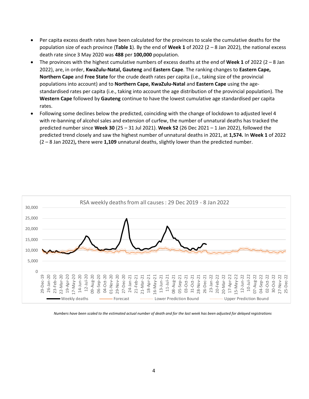- Per capita excess death rates have been calculated for the provinces to scale the cumulative deaths for the population size of each province (**Table 1**). By the end of **Week 1** of 2022 (2 – 8 Jan 2022), the national excess death rate since 3 May 2020 was **488** per **100,000** population.
- The provinces with the highest cumulative numbers of excess deaths at the end of **Week 1** of 2022 (2 8 Jan 2022), are, in order, **KwaZulu-Natal, Gauteng** and **Eastern Cape**. The ranking changes to **Eastern Cape, Northern Cape** and **Free State** for the crude death rates per capita (i.e., taking size of the provincial populations into account) and to **Northern Cape, KwaZulu-Natal** and **Eastern Cape** using the agestandardised rates per capita (i.e., taking into account the age distribution of the provincial population). The **Western Cape** followed by **Gauteng** continue to have the lowest cumulative age standardised per capita rates.
- Following some declines below the predicted, coinciding with the change of lockdown to adjusted level 4 with re-banning of alcohol sales and extension of curfew, the number of unnatural deaths has tracked the predicted number since **Week 30** (25 – 31 Jul 2021). **Week 52** (26 Dec 2021 – 1 Jan 2022), followed the predicted trend closely and saw the highest number of unnatural deaths in 2021, at **1,574.** In **Week 1** of 2022 (2 – 8 Jan 2022)**,** there were **1,109** unnatural deaths, slightly lower than the predicted number.



*Numbers have been scaled to the estimated actual number of death and for the last week has been adjusted for delayed registrations*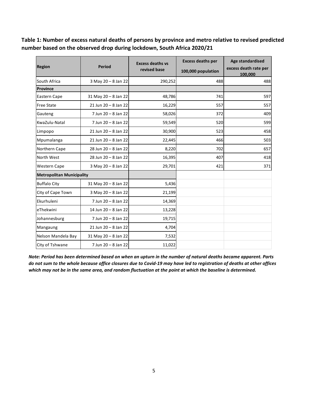**Table 1: Number of excess natural deaths of persons by province and metro relative to revised predicted number based on the observed drop during lockdown, South Africa 2020/21**

| <b>Region</b>                    | <b>Period</b>            | <b>Excess deaths vs</b> | <b>Excess deaths per</b> | Age standardised<br>excess death rate per<br>100,000 |
|----------------------------------|--------------------------|-------------------------|--------------------------|------------------------------------------------------|
|                                  |                          | revised base            | 100,000 population       |                                                      |
| South Africa                     | 3 May 20 - 8 Jan 22      | 290,252                 | 488                      | 488                                                  |
| Province                         |                          |                         |                          |                                                      |
| Eastern Cape                     | 31 May 20 - 8 Jan 22     | 48,786                  | 741                      | 597                                                  |
| <b>Free State</b>                | 21 Jun 20 - 8 Jan 22     | 16,229                  | 557                      | 557                                                  |
| Gauteng                          | 7 Jun 20 - 8 Jan 22      | 58,026                  | 372                      | 409                                                  |
| KwaZulu-Natal                    | 7 Jun 20 - 8 Jan 22      | 59,549                  | 520                      | 599                                                  |
| Limpopo                          | $21$ Jun $20 - 8$ Jan 22 | 30,900                  | 523                      | 458                                                  |
| Mpumalanga                       | $21$ Jun $20 - 8$ Jan 22 | 22,445                  | 466                      | 503                                                  |
| Northern Cape                    | 28 Jun 20 - 8 Jan 22     | 8,220                   | 702                      | 657                                                  |
| North West                       | 28 Jun 20 - 8 Jan 22     | 16,395                  | 407                      | 418                                                  |
| Western Cape                     | 3 May 20 - 8 Jan 22      | 29,701                  | 421                      | 371                                                  |
| <b>Metropolitan Municipality</b> |                          |                         |                          |                                                      |
| <b>Buffalo City</b>              | 31 May 20 - 8 Jan 22     | 5,436                   |                          |                                                      |
| City of Cape Town                | 3 May 20 - 8 Jan 22      | 21,199                  |                          |                                                      |
| Ekurhuleni                       | 7 Jun 20 - 8 Jan 22      | 14,369                  |                          |                                                      |
| eThekwini                        | 14 Jun 20 - 8 Jan 22     | 13,228                  |                          |                                                      |
| Johannesburg                     | 7 Jun 20 - 8 Jan 22      | 19,715                  |                          |                                                      |
| Mangaung                         | $21$ Jun $20 - 8$ Jan 22 | 4,704                   |                          |                                                      |
| Nelson Mandela Bay               | 31 May 20 - 8 Jan 22     | 7,532                   |                          |                                                      |
| City of Tshwane                  | 7 Jun 20 - 8 Jan 22      | 11,022                  |                          |                                                      |

*Note: Period has been determined based on when an upturn in the number of natural deaths became apparent. Parts do not sum to the whole because office closures due to Covid-19 may have led to registration of deaths at other offices which may not be in the same area, and random fluctuation at the point at which the baseline is determined.*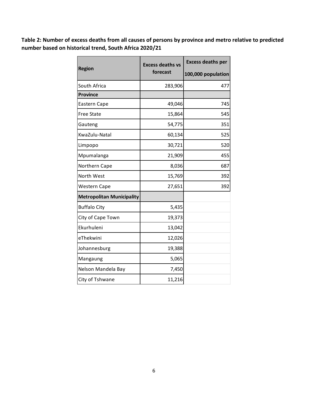**Table 2: Number of excess deaths from all causes of persons by province and metro relative to predicted number based on historical trend, South Africa 2020/21**

|                                  | <b>Excess deaths vs</b> | <b>Excess deaths per</b> |  |
|----------------------------------|-------------------------|--------------------------|--|
| <b>Region</b>                    | forecast                | 100,000 population       |  |
| South Africa                     | 283,906                 | 477                      |  |
| <b>Province</b>                  |                         |                          |  |
| Eastern Cape                     | 49,046                  | 745                      |  |
| <b>Free State</b>                | 15,864                  | 545                      |  |
| Gauteng                          | 54,775                  | 351                      |  |
| KwaZulu-Natal                    | 60,134                  | 525                      |  |
| Limpopo                          | 30,721                  | 520                      |  |
| Mpumalanga                       | 21,909                  | 455                      |  |
| Northern Cape                    | 8,036                   | 687                      |  |
| North West                       | 15,769                  | 392                      |  |
| <b>Western Cape</b>              | 27,651                  | 392                      |  |
| <b>Metropolitan Municipality</b> |                         |                          |  |
| <b>Buffalo City</b>              | 5,435                   |                          |  |
| City of Cape Town                | 19,373                  |                          |  |
| Ekurhuleni                       | 13,042                  |                          |  |
| eThekwini                        | 12,026                  |                          |  |
| Johannesburg                     | 19,388                  |                          |  |
| Mangaung                         | 5,065                   |                          |  |
| Nelson Mandela Bay               | 7,450                   |                          |  |
| City of Tshwane                  | 11,216                  |                          |  |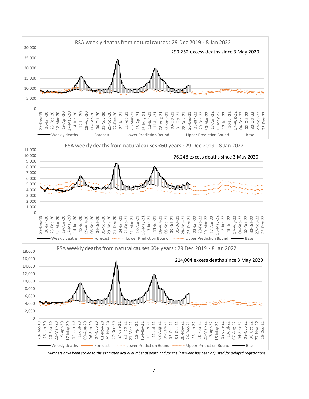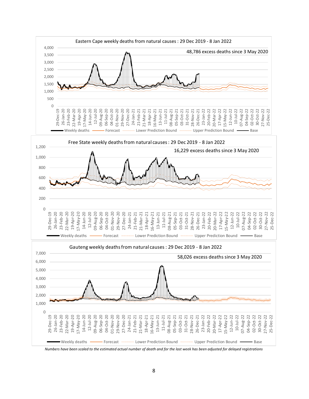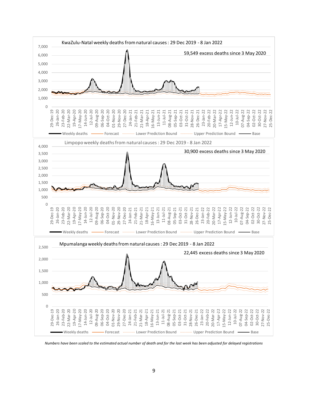

*Numbers have been scaled to the estimated actual number of death and for the last week has been adjusted for delayed registrations*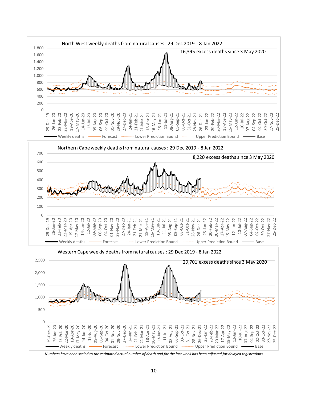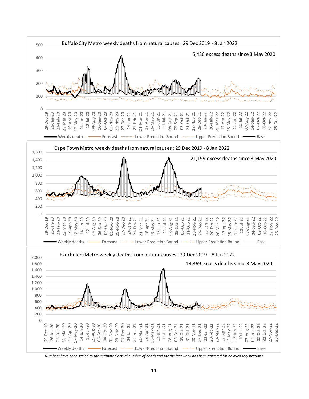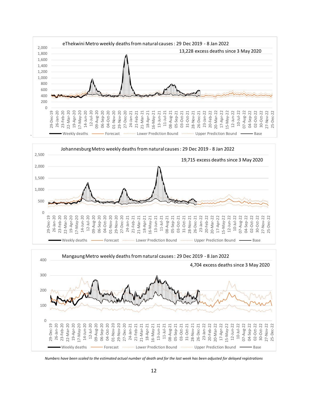



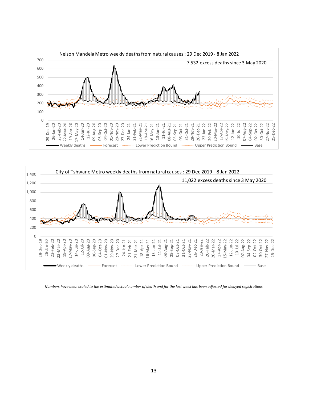